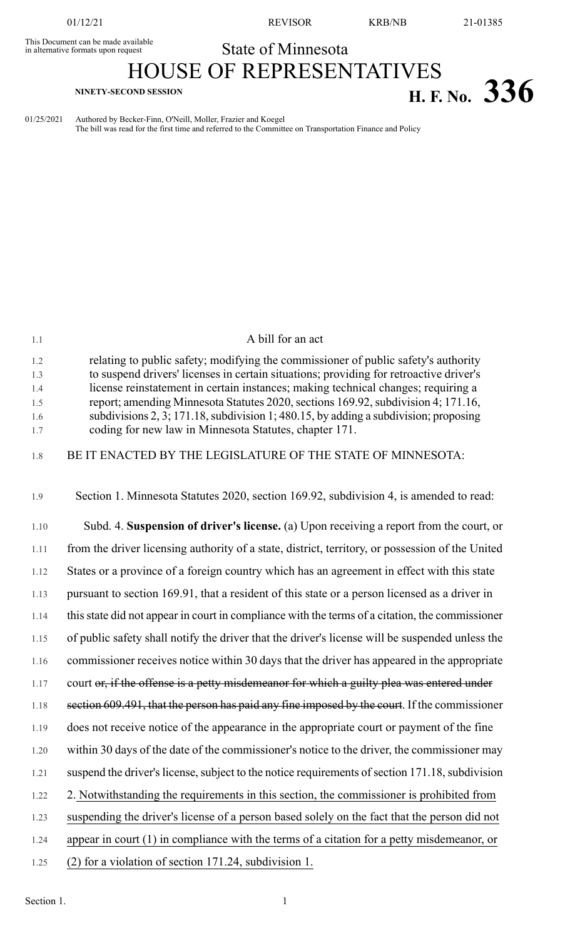This Document can be made available<br>in alternative formats upon request

01/12/21 REVISOR KRB/NB 21-01385

## State of Minnesota

## HOUSE OF REPRESENTATIVES **H. F. NO.** 336

01/25/2021 Authored by Becker-Finn, O'Neill, Moller, Frazier and Koegel The bill was read for the first time and referred to the Committee on Transportation Finance and Policy

| 1.1                                    | A bill for an act                                                                                                                                                                                                                                                                                                                                                                                                                                                                                           |
|----------------------------------------|-------------------------------------------------------------------------------------------------------------------------------------------------------------------------------------------------------------------------------------------------------------------------------------------------------------------------------------------------------------------------------------------------------------------------------------------------------------------------------------------------------------|
| 1.2<br>1.3<br>1.4<br>1.5<br>1.6<br>1.7 | relating to public safety; modifying the commissioner of public safety's authority<br>to suspend drivers' licenses in certain situations; providing for retroactive driver's<br>license reinstatement in certain instances; making technical changes; requiring a<br>report; amending Minnesota Statutes 2020, sections 169.92, subdivision 4; 171.16,<br>subdivisions $2, 3; 171.18$ , subdivision 1; 480.15, by adding a subdivision; proposing<br>coding for new law in Minnesota Statutes, chapter 171. |
| 1.8                                    | BE IT ENACTED BY THE LEGISLATURE OF THE STATE OF MINNESOTA:                                                                                                                                                                                                                                                                                                                                                                                                                                                 |
| 1.9                                    | Section 1. Minnesota Statutes 2020, section 169.92, subdivision 4, is amended to read:                                                                                                                                                                                                                                                                                                                                                                                                                      |
| 1.10                                   | Subd. 4. Suspension of driver's license. (a) Upon receiving a report from the court, or                                                                                                                                                                                                                                                                                                                                                                                                                     |
| 1.11                                   | from the driver licensing authority of a state, district, territory, or possession of the United                                                                                                                                                                                                                                                                                                                                                                                                            |
| 1.12                                   | States or a province of a foreign country which has an agreement in effect with this state                                                                                                                                                                                                                                                                                                                                                                                                                  |
| 1.13                                   | pursuant to section 169.91, that a resident of this state or a person licensed as a driver in                                                                                                                                                                                                                                                                                                                                                                                                               |
| 1.14                                   | this state did not appear in court in compliance with the terms of a citation, the commissioner                                                                                                                                                                                                                                                                                                                                                                                                             |
| 1.15                                   | of public safety shall notify the driver that the driver's license will be suspended unless the                                                                                                                                                                                                                                                                                                                                                                                                             |
| 1.16                                   | commissioner receives notice within 30 days that the driver has appeared in the appropriate                                                                                                                                                                                                                                                                                                                                                                                                                 |
| 1.17                                   | court or, if the offense is a petty misdemeanor for which a guilty plea was entered under                                                                                                                                                                                                                                                                                                                                                                                                                   |
| 1.18                                   | section 609.491, that the person has paid any fine imposed by the court. If the commissioner                                                                                                                                                                                                                                                                                                                                                                                                                |
| 1.19                                   | does not receive notice of the appearance in the appropriate court or payment of the fine                                                                                                                                                                                                                                                                                                                                                                                                                   |
| 1.20                                   | within 30 days of the date of the commissioner's notice to the driver, the commissioner may                                                                                                                                                                                                                                                                                                                                                                                                                 |
| 1.21                                   | suspend the driver's license, subject to the notice requirements of section 171.18, subdivision                                                                                                                                                                                                                                                                                                                                                                                                             |
| 1.22                                   | 2. Notwithstanding the requirements in this section, the commissioner is prohibited from                                                                                                                                                                                                                                                                                                                                                                                                                    |
| 1.23                                   | suspending the driver's license of a person based solely on the fact that the person did not                                                                                                                                                                                                                                                                                                                                                                                                                |
| 1.24                                   | appear in court $(1)$ in compliance with the terms of a citation for a petty misdemeanor, or                                                                                                                                                                                                                                                                                                                                                                                                                |
| 1.25                                   | (2) for a violation of section 171.24, subdivision 1.                                                                                                                                                                                                                                                                                                                                                                                                                                                       |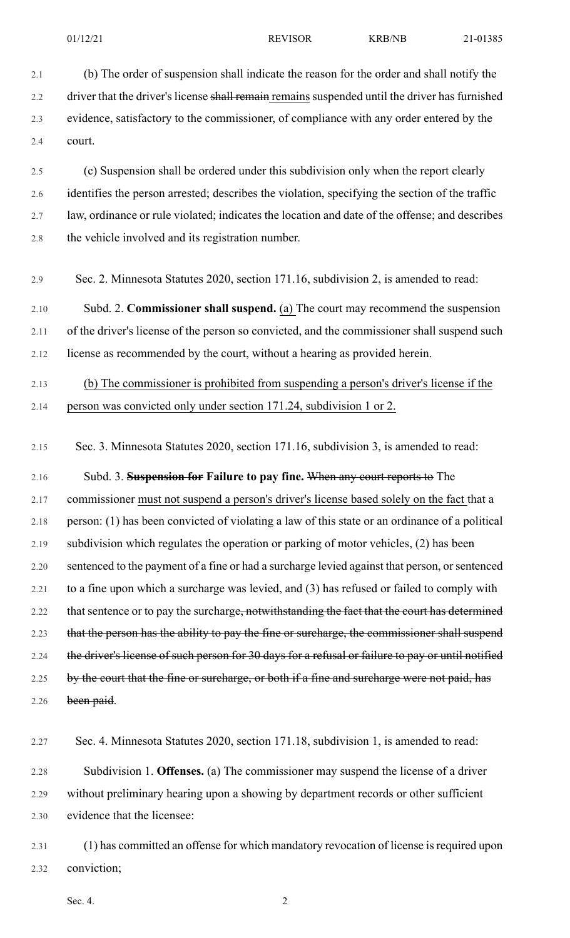2.1 (b) The order of suspension shall indicate the reason for the order and shall notify the 2.2 driver that the driver's license shall remain remains suspended until the driver has furnished 2.3 evidence, satisfactory to the commissioner, of compliance with any order entered by the 2.4 court. 2.5 (c) Suspension shall be ordered under this subdivision only when the report clearly 2.6 identifies the person arrested; describes the violation, specifying the section of the traffic 2.7 law, ordinance or rule violated; indicates the location and date of the offense; and describes 2.8 the vehicle involved and its registration number. 2.9 Sec. 2. Minnesota Statutes 2020, section 171.16, subdivision 2, is amended to read: 2.10 Subd. 2. **Commissioner shall suspend.** (a) The court may recommend the suspension 2.11 of the driver's license of the person so convicted, and the commissioner shall suspend such 2.12 license as recommended by the court, without a hearing as provided herein. 2.13 (b) The commissioner is prohibited from suspending a person's driver's license if the 2.14 person was convicted only under section 171.24, subdivision 1 or 2. 2.15 Sec. 3. Minnesota Statutes 2020, section 171.16, subdivision 3, is amended to read: 2.16 Subd. 3. **Suspension for Failure to pay fine.** When any court reports to The 2.17 commissioner must not suspend a person's driver's license based solely on the fact that a 2.18 person: (1) has been convicted of violating a law of this state or an ordinance of a political 2.19 subdivision which regulates the operation or parking of motor vehicles, (2) has been 2.20 sentenced to the payment of a fine or had a surcharge levied against that person, or sentenced 2.21 to a fine upon which a surcharge was levied, and (3) has refused or failed to comply with 2.22 that sentence or to pay the surcharge<del>, notwithstanding the fact that the court has determined</del> 2.23 that the person has the ability to pay the fine or surcharge, the commissioner shall suspend 2.24 the driver's license of such person for 30 days for a refusal or failure to pay or until notified 2.25 by the court that the fine or surcharge, or both if a fine and surcharge were not paid, has 2.26 been paid. 2.27 Sec. 4. Minnesota Statutes 2020, section 171.18, subdivision 1, is amended to read: 2.28 Subdivision 1. **Offenses.** (a) The commissioner may suspend the license of a driver 2.29 without preliminary hearing upon a showing by department records or other sufficient 2.30 evidence that the licensee: 2.31 (1) has committed an offense for which mandatory revocation of license isrequired upon

2.32 conviction;

Sec. 4.  $\hspace{2.5cm}2$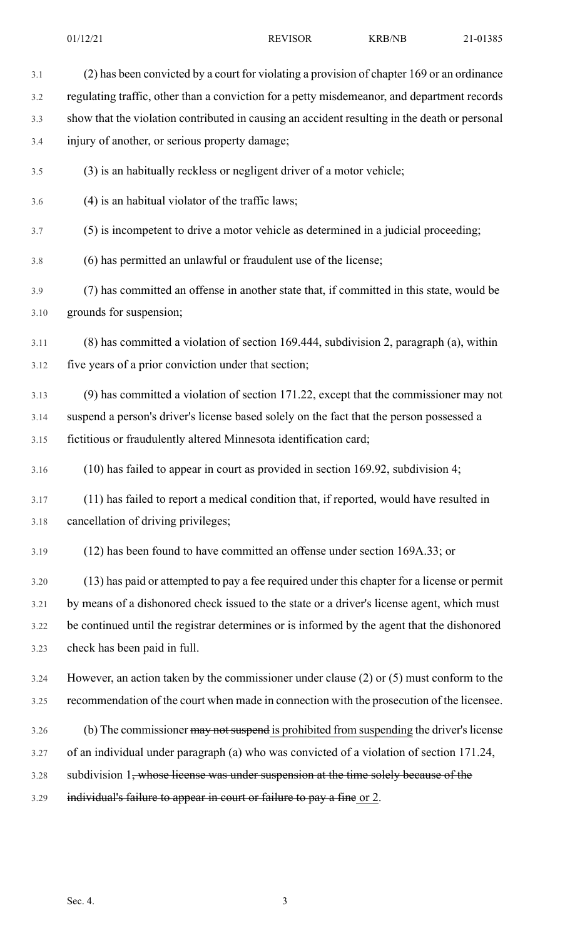3.1 (2) has been convicted by a court for violating a provision of chapter 169 or an ordinance 3.2 regulating traffic, other than a conviction for a petty misdemeanor, and department records 3.3 show that the violation contributed in causing an accident resulting in the death or personal 3.4 injury of another, or serious property damage; 3.5 (3) is an habitually reckless or negligent driver of a motor vehicle; 3.6 (4) is an habitual violator of the traffic laws; 3.7 (5) is incompetent to drive a motor vehicle as determined in a judicial proceeding; 3.8 (6) has permitted an unlawful or fraudulent use of the license; 3.9 (7) has committed an offense in another state that, if committed in this state, would be 3.10 grounds for suspension; 3.11 (8) has committed a violation of section 169.444, subdivision 2, paragraph (a), within 3.12 five years of a prior conviction under that section; 3.13 (9) has committed a violation of section 171.22, except that the commissioner may not 3.14 suspend a person's driver's license based solely on the fact that the person possessed a 3.15 fictitious or fraudulently altered Minnesota identification card; 3.16 (10) has failed to appear in court as provided in section 169.92, subdivision 4; 3.17 (11) has failed to report a medical condition that, if reported, would have resulted in 3.18 cancellation of driving privileges; 3.19 (12) has been found to have committed an offense under section 169A.33; or 3.20 (13) has paid or attempted to pay a fee required under this chapter for a license or permit 3.21 by means of a dishonored check issued to the state or a driver's license agent, which must 3.22 be continued until the registrar determines or is informed by the agent that the dishonored 3.23 check has been paid in full. 3.24 However, an action taken by the commissioner under clause (2) or (5) must conform to the 3.25 recommendation of the court when made in connection with the prosecution of the licensee. 3.26 (b) The commissioner may not suspend is prohibited from suspending the driver's license 3.27 of an individual under paragraph (a) who was convicted of a violation of section 171.24, 3.28 subdivision 1, whose license was under suspension at the time solely because of the 3.29 individual's failure to appear in court or failure to pay a fine or 2.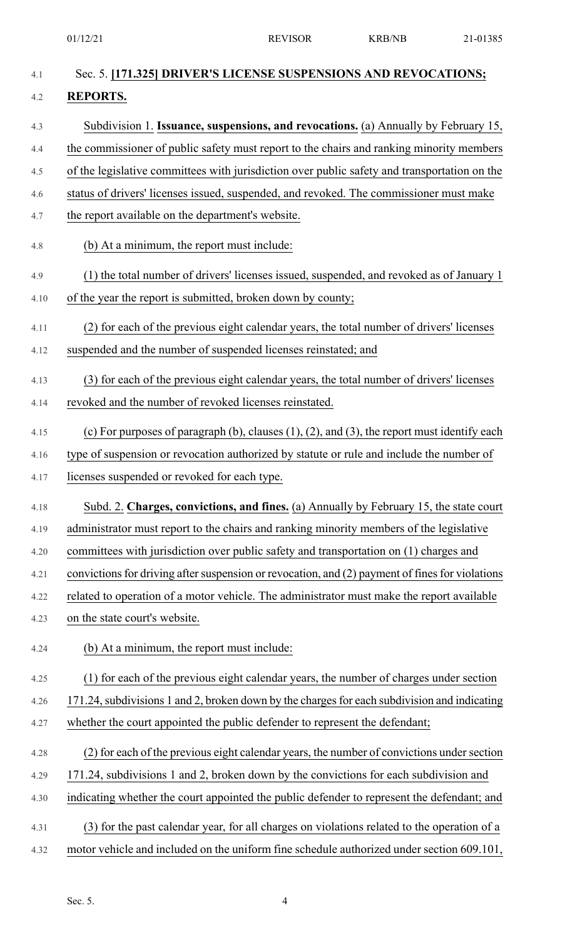| Sec. 5. [171.325] DRIVER'S LICENSE SUSPENSIONS AND REVOCATIONS;                                      |
|------------------------------------------------------------------------------------------------------|
| <b>REPORTS.</b>                                                                                      |
| Subdivision 1. Issuance, suspensions, and revocations. (a) Annually by February 15,                  |
| the commissioner of public safety must report to the chairs and ranking minority members             |
| of the legislative committees with jurisdiction over public safety and transportation on the         |
| status of drivers' licenses issued, suspended, and revoked. The commissioner must make               |
| the report available on the department's website.                                                    |
| (b) At a minimum, the report must include:                                                           |
| (1) the total number of drivers' licenses issued, suspended, and revoked as of January 1             |
| of the year the report is submitted, broken down by county;                                          |
| (2) for each of the previous eight calendar years, the total number of drivers' licenses             |
| suspended and the number of suspended licenses reinstated; and                                       |
| (3) for each of the previous eight calendar years, the total number of drivers' licenses             |
| revoked and the number of revoked licenses reinstated.                                               |
| (c) For purposes of paragraph (b), clauses $(1)$ , $(2)$ , and $(3)$ , the report must identify each |
| type of suspension or revocation authorized by statute or rule and include the number of             |
| licenses suspended or revoked for each type.                                                         |
| Subd. 2. Charges, convictions, and fines. (a) Annually by February 15, the state court               |
| administrator must report to the chairs and ranking minority members of the legislative              |
| committees with jurisdiction over public safety and transportation on (1) charges and                |
| convictions for driving after suspension or revocation, and (2) payment of fines for violations      |
| related to operation of a motor vehicle. The administrator must make the report available            |
| on the state court's website.                                                                        |
| (b) At a minimum, the report must include:                                                           |
| (1) for each of the previous eight calendar years, the number of charges under section               |
| 171.24, subdivisions 1 and 2, broken down by the charges for each subdivision and indicating         |
| whether the court appointed the public defender to represent the defendant;                          |
| (2) for each of the previous eight calendar years, the number of convictions under section           |
| 171.24, subdivisions 1 and 2, broken down by the convictions for each subdivision and                |
| indicating whether the court appointed the public defender to represent the defendant; and           |
| (3) for the past calendar year, for all charges on violations related to the operation of a          |
| motor vehicle and included on the uniform fine schedule authorized under section 609.101,            |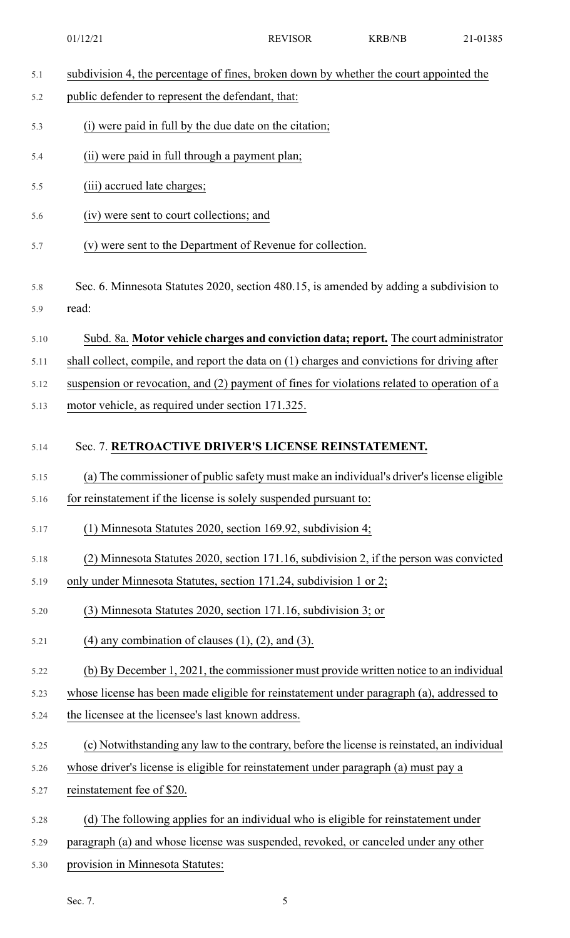|  | subdivision 4, the percentage of fines, broken down by whether the court appointed the |  |  |
|--|----------------------------------------------------------------------------------------|--|--|
|  |                                                                                        |  |  |

- 5.2 public defender to represent the defendant, that:
- 5.3 (i) were paid in full by the due date on the citation;
- 5.4 (ii) were paid in full through a payment plan;
- 5.5 (iii) accrued late charges;
- 5.6 (iv) were sent to court collections; and
- 5.7 (v) were sent to the Department of Revenue for collection.
- 5.8 Sec. 6. Minnesota Statutes 2020, section 480.15, is amended by adding a subdivision to 5.9 read:
- 5.10 Subd. 8a. **Motor vehicle charges and conviction data; report.** The court administrator
- 5.11 shall collect, compile, and report the data on (1) charges and convictions for driving after
- 5.12 suspension or revocation, and (2) payment of fines for violations related to operation of a
- 5.13 motor vehicle, as required under section 171.325.

## 5.14 Sec. 7. **RETROACTIVE DRIVER'S LICENSE REINSTATEMENT.**

- 5.15 (a) The commissioner of public safety must make an individual's driver'slicense eligible
- 5.16 for reinstatement if the license is solely suspended pursuant to:
- 5.17 (1) Minnesota Statutes 2020, section 169.92, subdivision 4;
- 5.18 (2) Minnesota Statutes 2020, section 171.16, subdivision 2, if the person was convicted
- 5.19 only under Minnesota Statutes, section 171.24, subdivision 1 or 2;
- 5.20 (3) Minnesota Statutes 2020, section 171.16, subdivision 3; or
- 5.21 (4) any combination of clauses  $(1)$ ,  $(2)$ , and  $(3)$ .
- 5.22 (b) By December 1, 2021, the commissioner must provide written notice to an individual
- 5.23 whose license has been made eligible for reinstatement under paragraph (a), addressed to
- 5.24 the licensee at the licensee's last known address.
- 5.25 (c) Notwithstanding any law to the contrary, before the license isreinstated, an individual
- 5.26 whose driver's license is eligible for reinstatement under paragraph (a) must pay a
- 5.27 reinstatement fee of \$20.
- 5.28 (d) The following applies for an individual who is eligible for reinstatement under
- 5.29 paragraph (a) and whose license was suspended, revoked, or canceled under any other
- 5.30 provision in Minnesota Statutes: